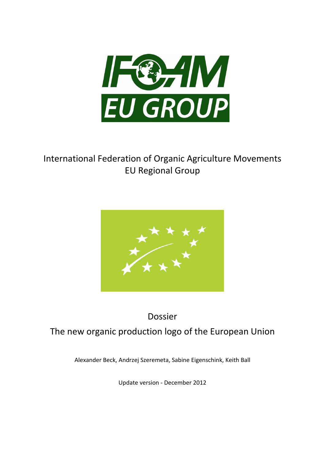

# International Federation of Organic Agriculture Movements EU Regional Group



# Dossier The new organic production logo of the European Union

Alexander Beck, Andrzej Szeremeta, Sabine Eigenschink, Keith Ball

Update version - December 2012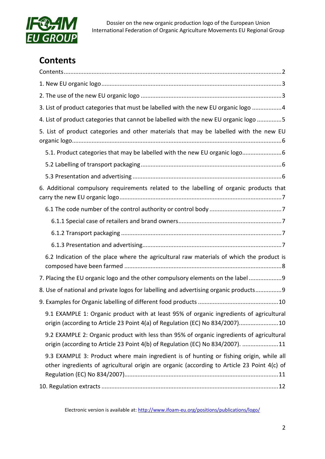

# <span id="page-1-0"></span>**Contents**

| 3. List of product categories that must be labelled with the new EU organic logo 4                                                                                                     |
|----------------------------------------------------------------------------------------------------------------------------------------------------------------------------------------|
| 4. List of product categories that cannot be labelled with the new EU organic logo 5                                                                                                   |
| 5. List of product categories and other materials that may be labelled with the new EU                                                                                                 |
| 5.1. Product categories that may be labelled with the new EU organic logo                                                                                                              |
|                                                                                                                                                                                        |
|                                                                                                                                                                                        |
| 6. Additional compulsory requirements related to the labelling of organic products that                                                                                                |
|                                                                                                                                                                                        |
|                                                                                                                                                                                        |
|                                                                                                                                                                                        |
|                                                                                                                                                                                        |
|                                                                                                                                                                                        |
| 6.2 Indication of the place where the agricultural raw materials of which the product is                                                                                               |
| 7. Placing the EU organic logo and the other compulsory elements on the label  9                                                                                                       |
| 8. Use of national and private logos for labelling and advertising organic products 9                                                                                                  |
|                                                                                                                                                                                        |
| 9.1 EXAMPLE 1: Organic product with at least 95% of organic ingredients of agricultural<br>origin (according to Article 23 Point 4(a) of Regulation (EC) No 834/2007)10                |
| 9.2 EXAMPLE 2: Organic product with less than 95% of organic ingredients of agricultural<br>origin (according to Article 23 Point 4(b) of Regulation (EC) No 834/2007). 11             |
| 9.3 EXAMPLE 3: Product where main ingredient is of hunting or fishing origin, while all<br>other ingredients of agricultural origin are organic (according to Article 23 Point 4(c) of |

Electronic version is available at:<http://www.ifoam-eu.org/positions/publications/logo/>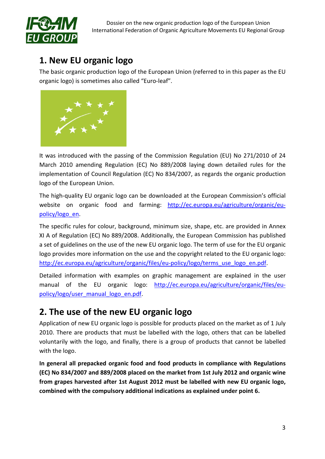

## <span id="page-2-0"></span>**1. New EU organic logo**

The basic organic production logo of the European Union (referred to in this paper as the EU organic logo) is sometimes also called "Euro-leaf".



It was introduced with the passing of the Commission Regulation (EU) No 271/2010 of 24 March 2010 amending Regulation (EC) No 889/2008 laying down detailed rules for the implementation of Council Regulation (EC) No 834/2007, as regards the organic production logo of the European Union.

The high-quality EU organic logo can be downloaded at the European Commission's official website on organic food and farming: [http://ec.europa.eu/agriculture/organic/eu](http://ec.europa.eu/agriculture/organic/eu-policy/logo_en)[policy/logo\\_en.](http://ec.europa.eu/agriculture/organic/eu-policy/logo_en)

The specific rules for colour, background, minimum size, shape, etc. are provided in Annex XI A of Regulation (EC) No 889/2008. Additionally, the European Commission has published a set of guidelines on the use of the new EU organic logo. The term of use for the EU organic logo provides more information on the use and the copyright related to the EU organic logo: http://ec.europa.eu/agriculture/organic/files/eu-policy/logo/terms use logo en.pdf.

Detailed information with examples on graphic management are explained in the user manual of the EU organic logo: [http://ec.europa.eu/agriculture/organic/files/eu](http://ec.europa.eu/agriculture/organic/files/eu-policy/logo/user_manual_logo_en.pdf)[policy/logo/user\\_manual\\_logo\\_en.pdf.](http://ec.europa.eu/agriculture/organic/files/eu-policy/logo/user_manual_logo_en.pdf)

## <span id="page-2-1"></span>**2. The use of the new EU organic logo**

Application of new EU organic logo is possible for products placed on the market as of 1 July 2010. There are products that must be labelled with the logo, others that can be labelled voluntarily with the logo, and finally, there is a group of products that cannot be labelled with the logo.

**In general all prepacked organic food and food products in compliance with Regulations (EC) No 834/2007 and 889/2008 placed on the market from 1st July 2012 and organic wine from grapes harvested after 1st August 2012 must be labelled with new EU organic logo, combined with the compulsory additional indications as explained under point 6.**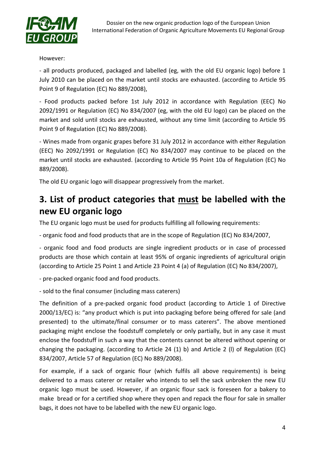

However:

- all products produced, packaged and labelled (eg, with the old EU organic logo) before 1 July 2010 can be placed on the market until stocks are exhausted. (according to Article 95 Point 9 of Regulation (EC) No 889/2008),

- Food products packed before 1st July 2012 in accordance with Regulation (EEC) No 2092/1991 or Regulation (EC) No 834/2007 (eg, with the old EU logo) can be placed on the market and sold until stocks are exhausted, without any time limit (according to Article 95 Point 9 of Regulation (EC) No 889/2008).

- Wines made from organic grapes before 31 July 2012 in accordance with either Regulation (EEC) No 2092/1991 or Regulation (EC) No 834/2007 may continue to be placed on the market until stocks are exhausted. (according to Article 95 Point 10a of Regulation (EC) No 889/2008).

The old EU organic logo will disappear progressively from the market.

# <span id="page-3-0"></span>**3. List of product categories that must be labelled with the new EU organic logo**

The EU organic logo must be used for products fulfilling all following requirements:

- organic food and food products that are in the scope of Regulation (EC) No 834/2007,

- organic food and food products are single ingredient products or in case of processed products are those which contain at least 95% of organic ingredients of agricultural origin (according to Article 25 Point 1 and Article 23 Point 4 (a) of Regulation (EC) No 834/2007),

- pre-packed organic food and food products.

- sold to the final consumer (including mass caterers)

The definition of a pre-packed organic food product (according to Article 1 of Directive 2000/13/EC) is: "any product which is put into packaging before being offered for sale (and presented) to the ultimate/final consumer or to mass caterers". The above mentioned packaging might enclose the foodstuff completely or only partially, but in any case it must enclose the foodstuff in such a way that the contents cannot be altered without opening or changing the packaging. (according to Article 24 (1) b) and Article 2 (l) of Regulation (EC) 834/2007, Article 57 of Regulation (EC) No 889/2008).

For example, if a sack of organic flour (which fulfils all above requirements) is being delivered to a mass caterer or retailer who intends to sell the sack unbroken the new EU organic logo must be used. However, if an organic flour sack is foreseen for a bakery to make bread or for a certified shop where they open and repack the flour for sale in smaller bags, it does not have to be labelled with the new EU organic logo.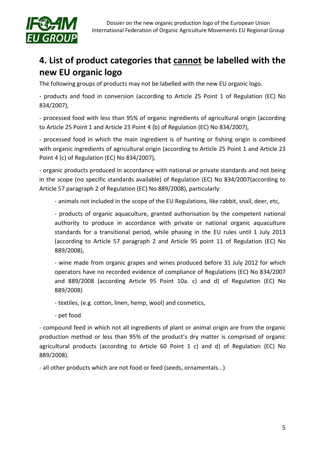

# <span id="page-4-0"></span>**4. List of product categories that cannot be labelled with the new EU organic logo**

The following groups of products may not be labelled with the new EU organic logo.

- products and food in conversion (according to Article 25 Point 1 of Regulation (EC) No 834/2007),

- processed food with less than 95% of organic ingredients of agricultural origin (according to Article 25 Point 1 and Article 23 Point 4 (b) of Regulation (EC) No 834/2007),

- processed food in which the main ingredient is of hunting or fishing origin is combined with organic ingredients of agricultural origin (according to Article 25 Point 1 and Article 23 Point 4 (c) of Regulation (EC) No 834/2007),

- organic products produced in accordance with national or private standards and not being in the scope (no specific standards available) of Regulation (EC) No 834/2007(according to Article 57 paragraph 2 of Regulation (EC) No 889/2008), particularly:

- animals not included in the scope of the EU Regulations, like rabbit, snail, deer, etc,

- products of organic aquaculture, granted authorisation by the competent national authority to produce in accordance with private or national organic aquaculture standards for a transitional period, while phasing in the EU rules until 1 July 2013 (according to Article 57 paragraph 2 and Article 95 point 11 of Regulation (EC) No 889/2008),

- wine made from organic grapes and wines produced before 31 July 2012 for which operators have no recorded evidence of compliance of Regulations (EC) No 834/2007 and 889/2008 (according Article 95 Point 10a. c) and d) of Regulation (EC) No 889/2008)

- textiles, (e.g. cotton, linen, hemp, wool) and cosmetics,

- pet food

- compound feed in which not all ingredients of plant or animal origin are from the organic production method or less than 95% of the product's dry matter is comprised of organic agricultural products (according to Article 60 Point 1 c) and d) of Regulation (EC) No 889/2008).

- all other products which are not food or feed (seeds, ornamentals...)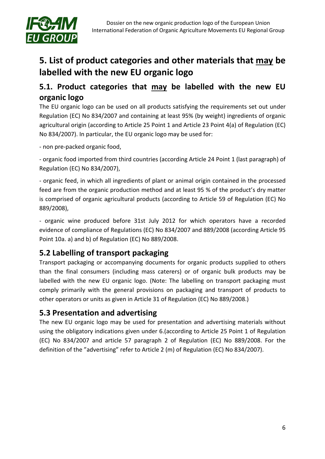

# <span id="page-5-0"></span>**5. List of product categories and other materials that may be labelled with the new EU organic logo**

### <span id="page-5-1"></span>**5.1. Product categories that may be labelled with the new EU organic logo**

The EU organic logo can be used on all products satisfying the requirements set out under Regulation (EC) No 834/2007 and containing at least 95% (by weight) ingredients of organic agricultural origin (according to Article 25 Point 1 and Article 23 Point 4(a) of Regulation (EC) No 834/2007). In particular, the EU organic logo may be used for:

- non pre-packed organic food,

- organic food imported from third countries (according Article 24 Point 1 (last paragraph) of Regulation (EC) No 834/2007),

- organic feed, in which all ingredients of plant or animal origin contained in the processed feed are from the organic production method and at least 95 % of the product's dry matter is comprised of organic agricultural products (according to Article 59 of Regulation (EC) No 889/2008),

- organic wine produced before 31st July 2012 for which operators have a recorded evidence of compliance of Regulations (EC) No 834/2007 and 889/2008 (according Article 95 Point 10a. a) and b) of Regulation (EC) No 889/2008.

### <span id="page-5-2"></span>**5.2 Labelling of transport packaging**

Transport packaging or accompanying documents for organic products supplied to others than the final consumers (including mass caterers) or of organic bulk products may be labelled with the new EU organic logo. (Note: The labelling on transport packaging must comply primarily with the general provisions on packaging and transport of products to other operators or units as given in Article 31 of Regulation (EC) No 889/2008.)

### <span id="page-5-3"></span>**5.3 Presentation and advertising**

The new EU organic logo may be used for presentation and advertising materials without using the obligatory indications given under 6.(according to Article 25 Point 1 of Regulation (EC) No 834/2007 and article 57 paragraph 2 of Regulation (EC) No 889/2008. For the definition of the "advertising" refer to Article 2 (m) of Regulation (EC) No 834/2007).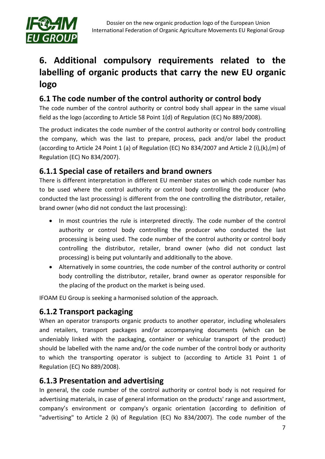

# <span id="page-6-0"></span>**6. Additional compulsory requirements related to the labelling of organic products that carry the new EU organic logo**

## <span id="page-6-1"></span>**6.1 The code number of the control authority or control body**

The code number of the control authority or control body shall appear in the same visual field as the logo (according to Article 58 Point 1(d) of Regulation (EC) No 889/2008).

The product indicates the code number of the control authority or control body controlling the company, which was the last to prepare, process, pack and/or label the product (according to Article 24 Point 1 (a) of Regulation (EC) No 834/2007 and Article 2 (i),(k),(m) of Regulation (EC) No 834/2007).

### <span id="page-6-2"></span>**6.1.1 Special case of retailers and brand owners**

There is different interpretation in different EU member states on which code number has to be used where the control authority or control body controlling the producer (who conducted the last processing) is different from the one controlling the distributor, retailer, brand owner (who did not conduct the last processing):

- In most countries the rule is interpreted directly. The code number of the control authority or control body controlling the producer who conducted the last processing is being used. The code number of the control authority or control body controlling the distributor, retailer, brand owner (who did not conduct last processing) is being put voluntarily and additionally to the above.
- Alternatively in some countries, the code number of the control authority or control body controlling the distributor, retailer, brand owner as operator responsible for the placing of the product on the market is being used.

IFOAM EU Group is seeking a harmonised solution of the approach.

### <span id="page-6-3"></span>**6.1.2 Transport packaging**

When an operator transports organic products to another operator, including wholesalers and retailers, transport packages and/or accompanying documents (which can be undeniably linked with the packaging, container or vehicular transport of the product) should be labelled with the name and/or the code number of the control body or authority to which the transporting operator is subject to (according to Article 31 Point 1 of Regulation (EC) No 889/2008).

### <span id="page-6-4"></span>**6.1.3 Presentation and advertising**

In general, the code number of the control authority or control body is not required for advertising materials, in case of general information on the products' range and assortment, company's environment or company's organic orientation (according to definition of "advertising" to Article 2 (k) of Regulation (EC) No 834/2007). The code number of the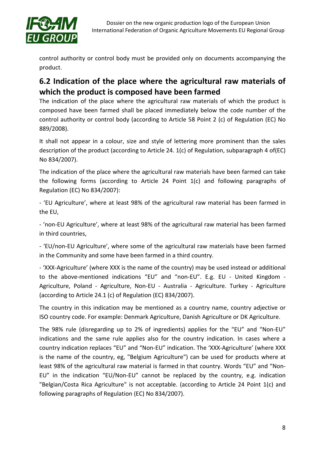

control authority or control body must be provided only on documents accompanying the product.

### <span id="page-7-0"></span>**6.2 Indication of the place where the agricultural raw materials of which the product is composed have been farmed**

The indication of the place where the agricultural raw materials of which the product is composed have been farmed shall be placed immediately below the code number of the control authority or control body (according to Article 58 Point 2 (c) of Regulation (EC) No 889/2008).

It shall not appear in a colour, size and style of lettering more prominent than the sales description of the product (according to Article 24. 1(c) of Regulation, subparagraph 4 of(EC) No 834/2007).

The indication of the place where the agricultural raw materials have been farmed can take the following forms (according to Article 24 Point 1(c) and following paragraphs of Regulation (EC) No 834/2007):

- 'EU Agriculture', where at least 98% of the agricultural raw material has been farmed in the EU,

- 'non-EU Agriculture', where at least 98% of the agricultural raw material has been farmed in third countries,

- 'EU/non-EU Agriculture', where some of the agricultural raw materials have been farmed in the Community and some have been farmed in a third country.

- 'XXX-Agriculture' (where XXX is the name of the country) may be used instead or additional to the above-mentioned indications "EU" and "non-EU". E.g. EU - United Kingdom - Agriculture, Poland - Agriculture, Non-EU - Australia - Agriculture. Turkey - Agriculture (according to Article 24.1 (c) of Regulation (EC) 834/2007).

The country in this indication may be mentioned as a country name, country adjective or ISO country code. For example: Denmark Agriculture, Danish Agriculture or DK Agriculture.

The 98% rule (disregarding up to 2% of ingredients) applies for the "EU" and "Non-EU" indications and the same rule applies also for the country indication. In cases where a country indication replaces "EU" and "Non-EU" indication. The 'XXX-Agriculture' (where XXX is the name of the country, eg, "Belgium Agriculture") can be used for products where at least 98% of the agricultural raw material is farmed in that country. Words "EU" and "Non-EU" in the indication "EU/Non-EU" cannot be replaced by the country, e.g. indication "Belgian/Costa Rica Agriculture" is not acceptable. (according to Article 24 Point 1(c) and following paragraphs of Regulation (EC) No 834/2007).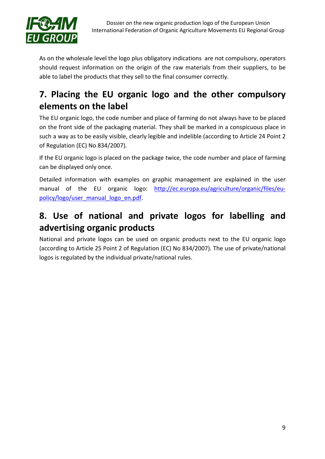

As on the wholesale level the logo plus obligatory indications are not compulsory, operators should request information on the origin of the raw materials from their suppliers, to be able to label the products that they sell to the final consumer correctly.

# <span id="page-8-0"></span>**7. Placing the EU organic logo and the other compulsory elements on the label**

The EU organic logo, the code number and place of farming do not always have to be placed on the front side of the packaging material. They shall be marked in a conspicuous place in such a way as to be easily visible, clearly legible and indelible (according to Article 24 Point 2 of Regulation (EC) No 834/2007).

If the EU organic logo is placed on the package twice, the code number and place of farming can be displayed only once.

Detailed information with examples on graphic management are explained in the user manual of the EU organic logo: [http://ec.europa.eu/agriculture/organic/files/eu](http://ec.europa.eu/agriculture/organic/files/eu-policy/logo/user_manual_logo_en.pdf)[policy/logo/user\\_manual\\_logo\\_en.pdf.](http://ec.europa.eu/agriculture/organic/files/eu-policy/logo/user_manual_logo_en.pdf)

## <span id="page-8-1"></span>**8. Use of national and private logos for labelling and advertising organic products**

National and private logos can be used on organic products next to the EU organic logo (according to Article 25 Point 2 of Regulation (EC) No 834/2007). The use of private/national logos is regulated by the individual private/national rules.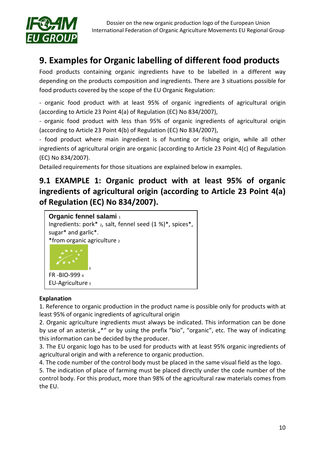

## <span id="page-9-0"></span>**9. Examples for Organic labelling of different food products**

Food products containing organic ingredients have to be labelled in a different way depending on the products composition and ingredients. There are 3 situations possible for food products covered by the scope of the EU Organic Regulation:

- organic food product with at least 95% of organic ingredients of agricultural origin (according to Article 23 Point 4(a) of Regulation (EC) No 834/2007),

- organic food product with less than 95% of organic ingredients of agricultural origin (according to Article 23 Point 4(b) of Regulation (EC) No 834/2007),

- food product where main ingredient is of hunting or fishing origin, while all other ingredients of agricultural origin are organic (according to Article 23 Point 4(c) of Regulation (EC) No 834/2007).

Detailed requirements for those situations are explained below in examples.

## <span id="page-9-1"></span>**9.1 EXAMPLE 1: Organic product with at least 95% of organic ingredients of agricultural origin (according to Article 23 Point 4(a) of Regulation (EC) No 834/2007).**



#### **Explanation**

1. Reference to organic production in the product name is possible only for products with at least 95% of organic ingredients of agricultural origin

2. Organic agriculture ingredients must always be indicated. This information can be done by use of an asterisk "<sup>\*</sup> or by using the prefix "bio", "organic", etc. The way of indicating this information can be decided by the producer.

3. The EU organic logo has to be used for products with at least 95% organic ingredients of agricultural origin and with a reference to organic production.

4. The code number of the control body must be placed in the same visual field as the logo.

5. The indication of place of farming must be placed directly under the code number of the control body. For this product, more than 98% of the agricultural raw materials comes from the EU.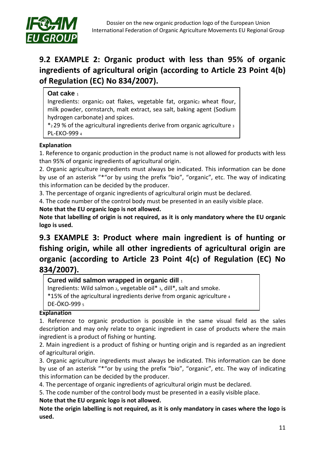

## <span id="page-10-0"></span>**9.2 EXAMPLE 2: Organic product with less than 95% of organic ingredients of agricultural origin (according to Article 23 Point 4(b) of Regulation (EC) No 834/2007).**

#### **Oat cake** 1

Ingredients: organic<sub>2</sub> oat flakes, vegetable fat, organic<sub>2</sub> wheat flour, milk powder, cornstarch, malt extract, sea salt, baking agent (Sodium hydrogen carbonate) and spices.

 $*$ 29 % of the agricultural ingredients derive from organic agriculture  $3$ PL-EKO-999 4

#### **Explanation**

1. Reference to organic production in the product name is not allowed for products with less than 95% of organic ingredients of agricultural origin.

2. Organic agriculture ingredients must always be indicated. This information can be done by use of an asterisk "\*"or by using the prefix "bio", "organic", etc. The way of indicating this information can be decided by the producer.

3. The percentage of organic ingredients of agricultural origin must be declared.

4. The code number of the control body must be presented in an easily visible place.

#### **Note that the EU organic logo is not allowed.**

**Note that labelling of origin is not required, as it is only mandatory where the EU organic logo is used.**

## <span id="page-10-1"></span>**9.3 EXAMPLE 3: Product where main ingredient is of hunting or fishing origin, while all other ingredients of agricultural origin are organic (according to Article 23 Point 4(c) of Regulation (EC) No 834/2007).**

**Cured wild salmon wrapped in organic dill** <sup>1</sup>

Ingredients: Wild salmon 2, vegetable oil\* 3, dill\*, salt and smoke.

\*15% of the agricultural ingredients derive from organic agriculture 4

DE-ÖKO-999 5

#### **Explanation**

1. Reference to organic production is possible in the same visual field as the sales description and may only relate to organic ingredient in case of products where the main ingredient is a product of fishing or hunting.

2. Main ingredient is a product of fishing or hunting origin and is regarded as an ingredient of agricultural origin.

3. Organic agriculture ingredients must always be indicated. This information can be done by use of an asterisk "\*"or by using the prefix "bio", "organic", etc. The way of indicating this information can be decided by the producer.

4. The percentage of organic ingredients of agricultural origin must be declared.

5. The code number of the control body must be presented in a easily visible place.

#### **Note that the EU organic logo is not allowed.**

**Note the origin labelling is not required, as it is only mandatory in cases where the logo is used.**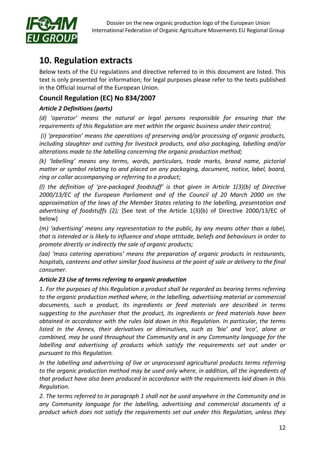

## <span id="page-11-0"></span>**10. Regulation extracts**

Below texts of the EU regulations and directive referred to in this document are listed. This text is only presented for information; for legal purposes please refer to the texts published in the Official Journal of the European Union.

### **Council Regulation (EC) No 834/2007**

### *Article 2 Definitions (parts)*

*(d) 'operator' means the natural or legal persons responsible for ensuring that the requirements of this Regulation are met within the organic business under their control;*

*(i) 'preparation' means the operations of preserving and/or processing of organic products, including slaughter and cutting for livestock products, and also packaging, labelling and/or alterations made to the labelling concerning the organic production method;*

*(k) 'labelling' means any terms, words, particulars, trade marks, brand name, pictorial matter or symbol relating to and placed on any packaging, document, notice, label, board, ring or collar accompanying or referring to a product;*

*(l) the definition of 'pre-packaged foodstuff' is that given in Article 1(3)(b) of Directive 2000/13/EC of the European Parliament and of the Council of 20 March 2000 on the approximation of the laws of the Member States relating to the labelling, presentation and advertising of foodstuffs (2);* {See text of the Article 1(3)(b) of Directive 2000/13/EC of below}

*(m) 'advertising' means any representation to the public, by any means other than a label, that is intended or is likely to influence and shape attitude, beliefs and behaviours in order to promote directly or indirectly the sale of organic products;*

*(aa) 'mass catering operations' means the preparation of organic products in restaurants, hospitals, canteens and other similar food business at the point of sale or delivery to the final consumer.*

### *Article 23 Use of terms referring to organic production*

*1. For the purposes of this Regulation a product shall be regarded as bearing terms referring to the organic production method where, in the labelling, advertising material or commercial documents, such a product, its ingredients or feed materials are described in terms suggesting to the purchaser that the product, its ingredients or feed materials have been obtained in accordance with the rules laid down in this Regulation. In particular, the terms listed in the Annex, their derivatives or diminutives, such as 'bio' and 'eco', alone or combined, may be used throughout the Community and in any Community language for the labelling and advertising of products which satisfy the requirements set out under or pursuant to this Regulation.*

*In the labelling and advertising of live or unprocessed agricultural products terms referring to the organic production method may be used only where, in addition, all the ingredients of that product have also been produced in accordance with the requirements laid down in this Regulation.* 

*2. The terms referred to in paragraph 1 shall not be used anywhere in the Community and in any Community language for the labelling, advertising and commercial documents of a product which does not satisfy the requirements set out under this Regulation, unless they*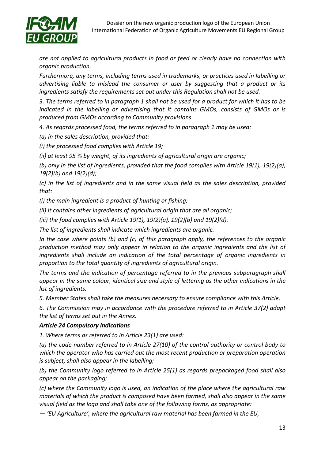

*are not applied to agricultural products in food or feed or clearly have no connection with organic production.* 

*Furthermore, any terms, including terms used in trademarks, or practices used in labelling or advertising liable to mislead the consumer or user by suggesting that a product or its ingredients satisfy the requirements set out under this Regulation shall not be used.*

*3. The terms referred to in paragraph 1 shall not be used for a product for which it has to be*  indicated in the labelling or advertising that it contains GMOs, consists of GMOs or is *produced from GMOs according to Community provisions.*

*4. As regards processed food, the terms referred to in paragraph 1 may be used:*

*(a) in the sales description, provided that:*

*(i) the processed food complies with Article 19;*

*(ii) at least 95 % by weight, of its ingredients of agricultural origin are organic;*

*(b) only in the list of ingredients, provided that the food complies with Article 19(1), 19(2)(a), 19(2)(b) and 19(2)(d);*

*(c) in the list of ingredients and in the same visual field as the sales description, provided that:*

*(i) the main ingredient is a product of hunting or fishing;*

*(ii) it contains other ingredients of agricultural origin that are all organic;*

*(iii) the food complies with Article 19(1), 19(2)(a), 19(2)(b) and 19(2)(d).*

*The list of ingredients shall indicate which ingredients are organic.*

*In the case where points (b) and (c) of this paragraph apply, the references to the organic production method may only appear in relation to the organic ingredients and the list of ingredients shall include an indication of the total percentage of organic ingredients in proportion to the total quantity of ingredients of agricultural origin.*

*The terms and the indication of percentage referred to in the previous subparagraph shall appear in the same colour, identical size and style of lettering as the other indications in the list of ingredients.*

*5. Member States shall take the measures necessary to ensure compliance with this Article.*

*6. The Commission may in accordance with the procedure referred to in Article 37(2) adapt the list of terms set out in the Annex.*

#### *Article 24 Compulsory indications*

*1. Where terms as referred to in Article 23(1) are used:*

*(a) the code number referred to in Article 27(10) of the control authority or control body to which the operator who has carried out the most recent production or preparation operation is subject, shall also appear in the labelling;*

*(b) the Community logo referred to in Article 25(1) as regards prepackaged food shall also appear on the packaging;*

*(c) where the Community logo is used, an indication of the place where the agricultural raw materials of which the product is composed have been farmed, shall also appear in the same visual field as the logo and shall take one of the following forms, as appropriate:*

*— 'EU Agriculture', where the agricultural raw material has been farmed in the EU,*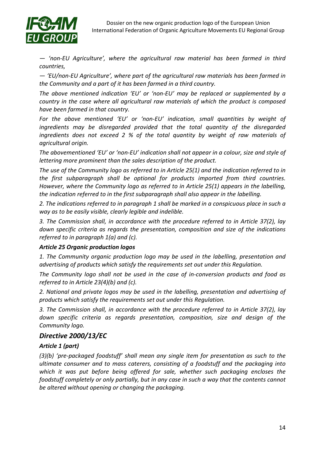

*— 'non-EU Agriculture', where the agricultural raw material has been farmed in third countries,*

*— 'EU/non-EU Agriculture', where part of the agricultural raw materials has been farmed in the Community and a part of it has been farmed in a third country.*

*The above mentioned indication 'EU' or 'non-EU' may be replaced or supplemented by a country in the case where all agricultural raw materials of which the product is composed have been farmed in that country.*

*For the above mentioned 'EU' or 'non-EU' indication, small quantities by weight of ingredients may be disregarded provided that the total quantity of the disregarded ingredients does not exceed 2 % of the total quantity by weight of raw materials of agricultural origin.*

*The abovementioned 'EU' or 'non-EU' indication shall not appear in a colour, size and style of lettering more prominent than the sales description of the product.*

*The use of the Community logo as referred to in Article 25(1) and the indication referred to in the first subparagraph shall be optional for products imported from third countries. However, where the Community logo as referred to in Article 25(1) appears in the labelling, the indication referred to in the first subparagraph shall also appear in the labelling.*

*2. The indications referred to in paragraph 1 shall be marked in a conspicuous place in such a way as to be easily visible, clearly legible and indelible.*

*3. The Commission shall, in accordance with the procedure referred to in Article 37(2), lay down specific criteria as regards the presentation, composition and size of the indications referred to in paragraph 1(a) and (c).*

#### *Article 25 Organic production logos*

*1. The Community organic production logo may be used in the labelling, presentation and advertising of products which satisfy the requirements set out under this Regulation.*

*The Community logo shall not be used in the case of in-conversion products and food as referred to in Article 23(4)(b) and (c).*

*2. National and private logos may be used in the labelling, presentation and advertising of products which satisfy the requirements set out under this Regulation.*

*3. The Commission shall, in accordance with the procedure referred to in Article 37(2), lay down specific criteria as regards presentation, composition, size and design of the Community logo.*

### *Directive 2000/13/EC*

#### *Article 1 (part)*

*(3)(b) 'pre-packaged foodstuff' shall mean any single item for presentation as such to the ultimate consumer and to mass caterers, consisting of a foodstuff and the packaging into which it was put before being offered for sale, whether such packaging encloses the foodstuff completely or only partially, but in any case in such a way that the contents cannot be altered without opening or changing the packaging.*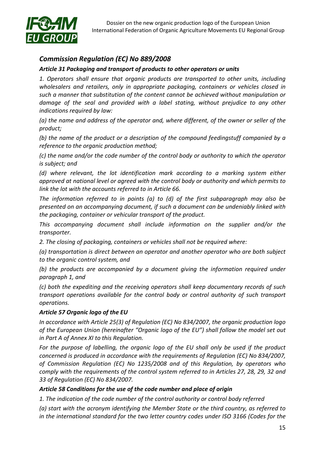

### *Commission Regulation (EC) No 889/2008*

#### *Article 31 Packaging and transport of products to other operators or units*

*1. Operators shall ensure that organic products are transported to other units, including wholesalers and retailers, only in appropriate packaging, containers or vehicles closed in such a manner that substitution of the content cannot be achieved without manipulation or damage of the seal and provided with a label stating, without prejudice to any other indications required by law:*

*(a) the name and address of the operator and, where different, of the owner or seller of the product;*

*(b) the name of the product or a description of the compound feedingstuff companied by a reference to the organic production method;*

*(c) the name and/or the code number of the control body or authority to which the operator is subject; and*

*(d) where relevant, the lot identification mark according to a marking system either approved at national level or agreed with the control body or authority and which permits to link the lot with the accounts referred to in Article 66.*

*The information referred to in points (a) to (d) of the first subparagraph may also be presented on an accompanying document, if such a document can be undeniably linked with the packaging, container or vehicular transport of the product.*

*This accompanying document shall include information on the supplier and/or the transporter.*

*2. The closing of packaging, containers or vehicles shall not be required where:*

*(a) transportation is direct between an operator and another operator who are both subject to the organic control system, and*

*(b) the products are accompanied by a document giving the information required under paragraph 1, and*

*(c) both the expediting and the receiving operators shall keep documentary records of such transport operations available for the control body or control authority of such transport operations.*

#### *Article 57 Organic logo of the EU*

*In accordance with Article 25(3) of Regulation (EC) No 834/2007, the organic production logo of the European Union (hereinafter "Organic logo of the EU") shall follow the model set out in Part A of Annex XI to this Regulation.*

*For the purpose of labelling, the organic logo of the EU shall only be used if the product concerned is produced in accordance with the requirements of Regulation (EC) No 834/2007, of Commission Regulation (EC) No 1235/2008 and of this Regulation, by operators who comply with the requirements of the control system referred to in Articles 27, 28, 29, 32 and 33 of Regulation (EC) No 834/2007.*

### *Article 58 Conditions for the use of the code number and place of origin*

*1. The indication of the code number of the control authority or control body referred*

*(a) start with the acronym identifying the Member State or the third country, as referred to in the international standard for the two letter country codes under ISO 3166 (Codes for the*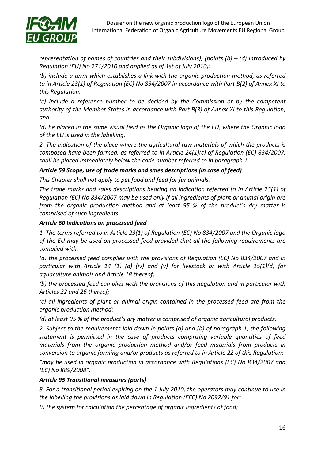

*representation of names of countries and their subdivisions); (points (b) – (d) introduced by Regulation (EU) No 271/2010 and applied as of 1st of July 2010):* 

*(b) include a term which establishes a link with the organic production method, as referred to in Article 23(1) of Regulation (EC) No 834/2007 in accordance with Part B(2) of Annex XI to this Regulation;*

*(c) include a reference number to be decided by the Commission or by the competent authority of the Member States in accordance with Part B(3) of Annex XI to this Regulation; and*

*(d) be placed in the same visual field as the Organic logo of the EU, where the Organic logo of the EU is used in the labelling.*

*2. The indication of the place where the agricultural raw materials of which the products is composed have been farmed, as referred to in Article 24(1)(c) of Regulation (EC) 834/2007, shall be placed immediately below the code number referred to in paragraph 1.*

#### *Article 59 Scope, use of trade marks and sales descriptions (in case of feed)*

*This Chapter shall not apply to pet food and feed for fur animals.* 

*The trade marks and sales descriptions bearing an indication referred to in Article 23(1) of Regulation (EC) No 834/2007 may be used only if all ingredients of plant or animal origin are from the organic production method and at least 95 % of the product's dry matter is comprised of such ingredients.* 

#### *Article 60 Indications on processed feed*

*1. The terms referred to in Article 23(1) of Regulation (EC) No 834/2007 and the Organic logo of the EU may be used on processed feed provided that all the following requirements are complied with:*

*(a) the processed feed complies with the provisions of Regulation (EC) No 834/2007 and in particular with Article 14 (1) (d) (iv) and (v) for livestock or with Article 15(1)(d) for aquaculture animals and Article 18 thereof;* 

*(b) the processed feed complies with the provisions of this Regulation and in particular with Articles 22 and 26 thereof;* 

*(c) all ingredients of plant or animal origin contained in the processed feed are from the organic production method;* 

*(d) at least 95 % of the product's dry matter is comprised of organic agricultural products.* 

*2. Subject to the requirements laid down in points (a) and (b) of paragraph 1, the following statement is permitted in the case of products comprising variable quantities of feed materials from the organic production method and/or feed materials from products in conversion to organic farming and/or products as referred to in Article 22 of this Regulation:* 

*"may be used in organic production in accordance with Regulations (EC) No 834/2007 and (EC) No 889/2008".*

#### *Article 95 Transitional measures (parts)*

*8. For a transitional period expiring on the 1 July 2010, the operators may continue to use in the labelling the provisions as laid down in Regulation (EEC) No 2092/91 for:*

*(i) the system for calculation the percentage of organic ingredients of food;*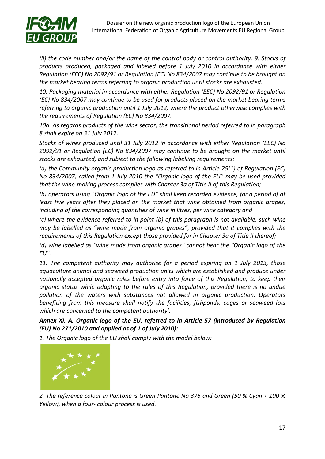

*(ii) the code number and/or the name of the control body or control authority. 9. Stocks of products produced, packaged and labeled before 1 July 2010 in accordance with either Regulation (EEC) No 2092/91 or Regulation (EC) No 834/2007 may continue to be brought on the market bearing terms referring to organic production until stocks are exhausted.*

*10. Packaging material in accordance with either Regulation (EEC) No 2092/91 or Regulation (EC) No 834/2007 may continue to be used for products placed on the market bearing terms referring to organic production until 1 July 2012, where the product otherwise complies with the requirements of Regulation (EC) No 834/2007.* 

*10a. As regards products of the wine sector, the transitional period referred to in paragraph 8 shall expire on 31 July 2012.*

*Stocks of wines produced until 31 July 2012 in accordance with either Regulation (EEC) No 2092/91 or Regulation (EC) No 834/2007 may continue to be brought on the market until stocks are exhausted, and subject to the following labelling requirements:* 

*(a) the Community organic production logo as referred to in Article 25(1) of Regulation (EC) No 834/2007, called from 1 July 2010 the "Organic logo of the EU" may be used provided that the wine-making process complies with Chapter 3a of Title II of this Regulation;* 

*(b) operators using "Organic logo of the EU" shall keep recorded evidence, for a period of at least five years after they placed on the market that wine obtained from organic grapes, including of the corresponding quantities of wine in litres, per wine category and*

*(c) where the evidence referred to in point (b) of this paragraph is not available, such wine may be labelled as "wine made from organic grapes", provided that it complies with the requirements of this Regulation except those provided for in Chapter 3a of Title II thereof;* 

*(d) wine labelled as "wine made from organic grapes" cannot bear the "Organic logo of the EU".*

*11. The competent authority may authorise for a period expiring on 1 July 2013, those aquaculture animal and seaweed production units which are established and produce under nationally accepted organic rules before entry into force of this Regulation, to keep their organic status while adapting to the rules of this Regulation, provided there is no undue pollution of the waters with substances not allowed in organic production. Operators benefiting from this measure shall notify the facilities, fishponds, cages or seaweed lots which are concerned to the competent authority'.*

*Annex XI. A. Organic logo of the EU, referred to in Article 57 (introduced by Regulation (EU) No 271/2010 and applied as of 1 of July 2010):*

*1. The Organic logo of the EU shall comply with the model below:*



*2. The reference colour in Pantone is Green Pantone No 376 and Green (50 % Cyan + 100 % Yellow), when a four- colour process is used.*